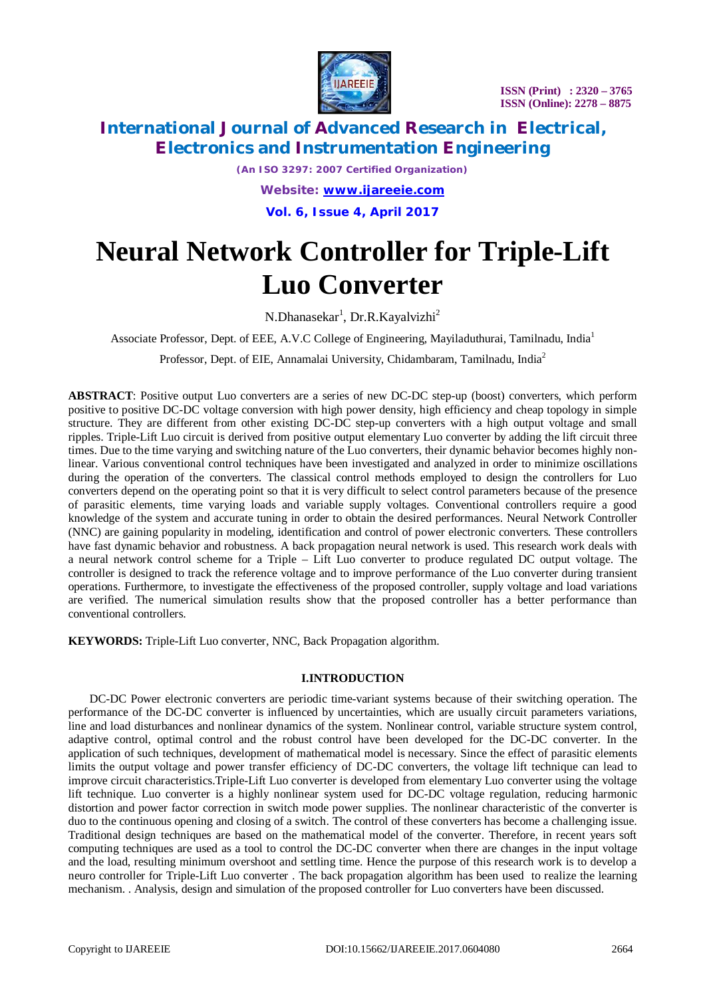

*(An ISO 3297: 2007 Certified Organization) Website: [www.ijareeie.com](http://www.ijareeie.com)*

**Vol. 6, Issue 4, April 2017**

# **Neural Network Controller for Triple-Lift Luo Converter**

N.Dhanasekar<sup>1</sup>, Dr.R.Kayalvizhi<sup>2</sup>

Associate Professor, Dept. of EEE, A.V.C College of Engineering, Mayiladuthurai, Tamilnadu, India<sup>1</sup>

Professor, Dept. of EIE, Annamalai University, Chidambaram, Tamilnadu, India<sup>2</sup>

**ABSTRACT**: Positive output Luo converters are a series of new DC-DC step-up (boost) converters, which perform positive to positive DC-DC voltage conversion with high power density, high efficiency and cheap topology in simple structure. They are different from other existing DC-DC step-up converters with a high output voltage and small ripples. Triple-Lift Luo circuit is derived from positive output elementary Luo converter by adding the lift circuit three times. Due to the time varying and switching nature of the Luo converters, their dynamic behavior becomes highly nonlinear. Various conventional control techniques have been investigated and analyzed in order to minimize oscillations during the operation of the converters. The classical control methods employed to design the controllers for Luo converters depend on the operating point so that it is very difficult to select control parameters because of the presence of parasitic elements, time varying loads and variable supply voltages. Conventional controllers require a good knowledge of the system and accurate tuning in order to obtain the desired performances. Neural Network Controller (NNC) are gaining popularity in modeling, identification and control of power electronic converters. These controllers have fast dynamic behavior and robustness. A back propagation neural network is used. This research work deals with a neural network control scheme for a Triple – Lift Luo converter to produce regulated DC output voltage. The controller is designed to track the reference voltage and to improve performance of the Luo converter during transient operations. Furthermore, to investigate the effectiveness of the proposed controller, supply voltage and load variations are verified. The numerical simulation results show that the proposed controller has a better performance than conventional controllers.

**KEYWORDS:** Triple-Lift Luo converter, NNC, Back Propagation algorithm.

### **I.INTRODUCTION**

DC-DC Power electronic converters are periodic time-variant systems because of their switching operation. The performance of the DC-DC converter is influenced by uncertainties, which are usually circuit parameters variations, line and load disturbances and nonlinear dynamics of the system. Nonlinear control, variable structure system control, adaptive control, optimal control and the robust control have been developed for the DC-DC converter. In the application of such techniques, development of mathematical model is necessary. Since the effect of parasitic elements limits the output voltage and power transfer efficiency of DC-DC converters, the voltage lift technique can lead to improve circuit characteristics.Triple-Lift Luo converter is developed from elementary Luo converter using the voltage lift technique. Luo converter is a highly nonlinear system used for DC-DC voltage regulation, reducing harmonic distortion and power factor correction in switch mode power supplies. The nonlinear characteristic of the converter is duo to the continuous opening and closing of a switch. The control of these converters has become a challenging issue. Traditional design techniques are based on the mathematical model of the converter. Therefore, in recent years soft computing techniques are used as a tool to control the DC-DC converter when there are changes in the input voltage and the load, resulting minimum overshoot and settling time. Hence the purpose of this research work is to develop a neuro controller for Triple-Lift Luo converter . The back propagation algorithm has been used to realize the learning mechanism. . Analysis, design and simulation of the proposed controller for Luo converters have been discussed.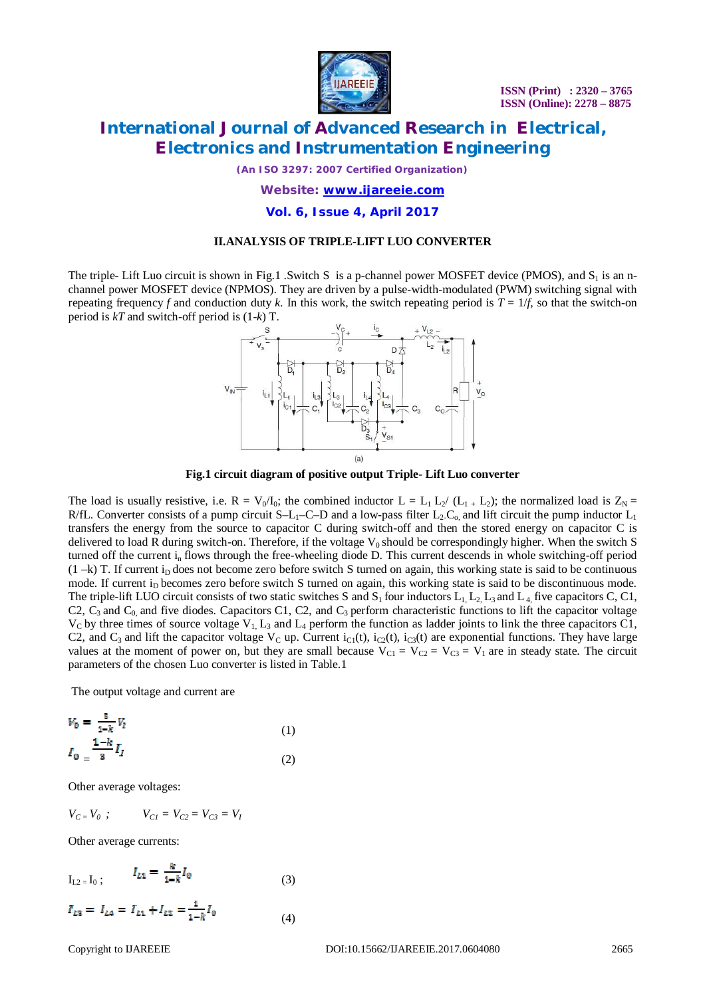

**ISSN (Print) : 2320 – 3765 ISSN (Online): 2278 – 8875**

# **International Journal of Advanced Research in Electrical, Electronics and Instrumentation Engineering**

*(An ISO 3297: 2007 Certified Organization)*

### *Website: [www.ijareeie.com](http://www.ijareeie.com)*

### **Vol. 6, Issue 4, April 2017**

#### **II.ANALYSIS OF TRIPLE-LIFT LUO CONVERTER**

The triple- Lift Luo circuit is shown in Fig.1 .Switch S is a p-channel power MOSFET device (PMOS), and  $S_1$  is an nchannel power MOSFET device (NPMOS). They are driven by a pulse-width-modulated (PWM) switching signal with repeating frequency *f* and conduction duty *k*. In this work, the switch repeating period is  $T = 1/f$ , so that the switch-on period is *kT* and switch-off period is (1-*k*) T.



**Fig.1 circuit diagram of positive output Triple- Lift Luo converter**

The load is usually resistive, i.e.  $R = V_0/I_0$ ; the combined inductor  $L = L_1 L_2 / (L_1 + L_2)$ ; the normalized load is  $Z_N =$ R/fL. Converter consists of a pump circuit S–L<sub>1</sub>–C–D and a low-pass filter L<sub>2</sub>-C<sub>0</sub> and lift circuit the pump inductor L<sub>1</sub> transfers the energy from the source to capacitor C during switch-off and then the stored energy on capacitor C is delivered to load R during switch-on. Therefore, if the voltage  $V_0$  should be correspondingly higher. When the switch S turned off the current in flows through the free-wheeling diode D. This current descends in whole switching-off period  $(1 -k)$  T. If current i<sub>D</sub> does not become zero before switch S turned on again, this working state is said to be continuous mode. If current i<sub>D</sub> becomes zero before switch S turned on again, this working state is said to be discontinuous mode. The triple-lift LUO circuit consists of two static switches S and  $S_1$  four inductors  $L_1$ ,  $L_2$ ,  $L_3$  and  $L_4$ , five capacitors C, C1, C2,  $C_3$  and  $C_0$  and five diodes. Capacitors C1, C2, and  $C_3$  perform characteristic functions to lift the capacitor voltage  $V_c$  by three times of source voltage  $V_1$ ,  $L_3$  and  $L_4$  perform the function as ladder joints to link the three capacitors C1, C2, and C<sub>3</sub> and lift the capacitor voltage V<sub>C</sub> up. Current i<sub>C1</sub>(t), i<sub>C2</sub>(t), i<sub>C3</sub>(t) are exponential functions. They have large values at the moment of power on, but they are small because  $V_{C1} = V_{C2} = V_{C3} = V_1$  are in steady state. The circuit parameters of the chosen Luo converter is listed in Table.1

The output voltage and current are

$$
V_0 = \frac{2}{1-k} V_I
$$
  
\n
$$
I_0 = \frac{1-k}{3} I_I
$$
 (1)

Other average voltages:

$$
V_{C} = V_0 ; \t V_{C1} = V_{C2} = V_{C3} = V_I
$$

Other average currents:

$$
I_{L2} = I_0 ; \t I_{L1} = \frac{k}{1 - k} I_0 \t (3)
$$

$$
I_{L2} = I_{L4} = I_{L1} + I_{L2} = \frac{1}{1 - k} I_0
$$
\n(4)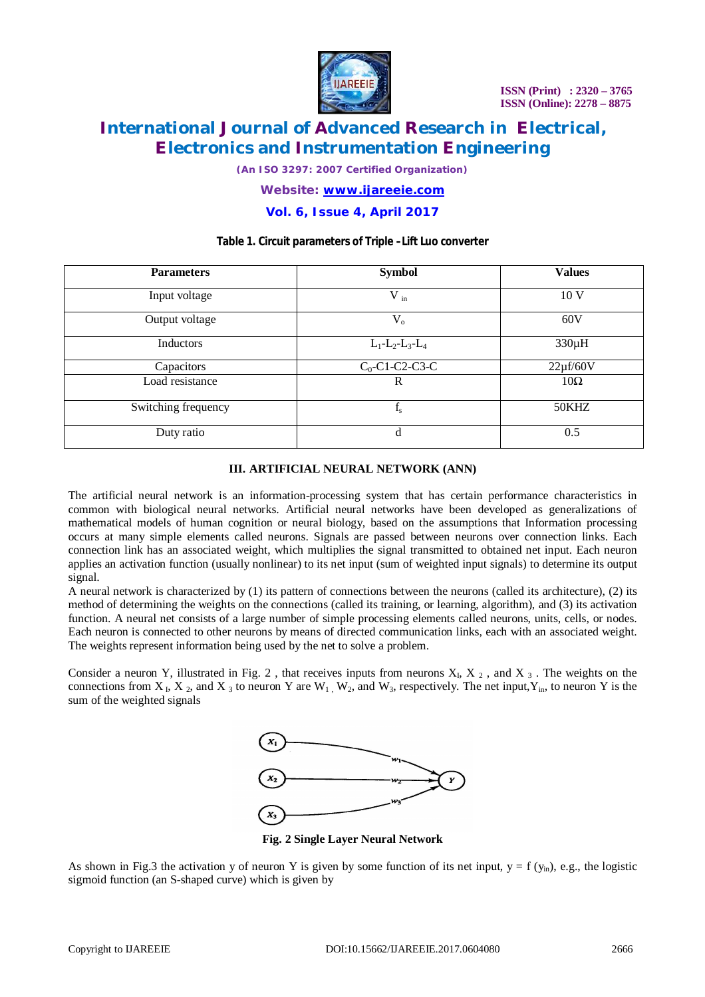

*(An ISO 3297: 2007 Certified Organization)*

### *Website: [www.ijareeie.com](http://www.ijareeie.com)*

### **Vol. 6, Issue 4, April 2017**

### **Table 1. Circuit parameters of Triple –Lift Luo converter**

| <b>Parameters</b>   | <b>Symbol</b>           | <b>Values</b>   |  |  |
|---------------------|-------------------------|-----------------|--|--|
| Input voltage       | $V_{in}$                | 10 <sub>V</sub> |  |  |
| Output voltage      | $V_{o}$                 | 60V             |  |  |
| Inductors           | $L_1 - L_2 - L_3 - L_4$ | $330\mu H$      |  |  |
| Capacitors          | $C_0$ -C1-C2-C3-C       | $22\mu$ f/60V   |  |  |
| Load resistance     | R                       | $10\Omega$      |  |  |
| Switching frequency | $f_{s}$                 | 50KHZ           |  |  |
| Duty ratio          | d                       | 0.5             |  |  |

### **III. ARTIFICIAL NEURAL NETWORK (ANN)**

The artificial neural network is an information-processing system that has certain performance characteristics in common with biological neural networks. Artificial neural networks have been developed as generalizations of mathematical models of human cognition or neural biology, based on the assumptions that Information processing occurs at many simple elements called neurons. Signals are passed between neurons over connection links. Each connection link has an associated weight, which multiplies the signal transmitted to obtained net input. Each neuron applies an activation function (usually nonlinear) to its net input (sum of weighted input signals) to determine its output signal.

A neural network is characterized by (1) its pattern of connections between the neurons (called its architecture), (2) its method of determining the weights on the connections (called its training, or learning, algorithm), and (3) its activation function. A neural net consists of a large number of simple processing elements called neurons, units, cells, or nodes. Each neuron is connected to other neurons by means of directed communication links, each with an associated weight. The weights represent information being used by the net to solve a problem.

Consider a neuron Y, illustrated in Fig. 2, that receives inputs from neurons  $X_L$ ,  $X_2$ , and  $X_3$ . The weights on the connections from  $X_1$ ,  $X_2$ , and  $X_3$  to neuron Y are  $W_1$ ,  $W_2$ , and  $W_3$ , respectively. The net input,  $Y_{in}$ , to neuron Y is the sum of the weighted signals



**Fig. 2 Single Layer Neural Network**

As shown in Fig.3 the activation y of neuron Y is given by some function of its net input,  $y = f(y_{in})$ , e.g., the logistic sigmoid function (an S-shaped curve) which is given by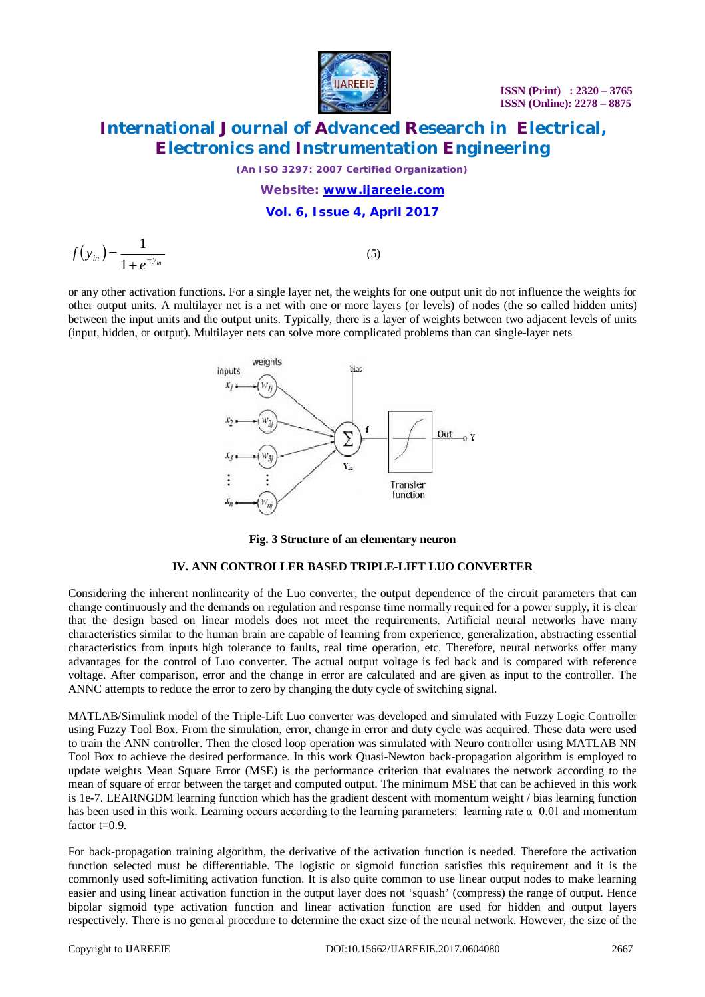

*(An ISO 3297: 2007 Certified Organization)*

### *Website: [www.ijareeie.com](http://www.ijareeie.com)* **Vol. 6, Issue 4, April 2017**

 $(y_{in}) = \frac{1}{1+e^{-y_{in}}}$  $f(y_{in}) = \frac{1}{1+e^{-1}}$  $=$ 1 1

(5)

or any other activation functions. For a single layer net, the weights for one output unit do not influence the weights for other output units. A multilayer net is a net with one or more layers (or levels) of nodes (the so called hidden units) between the input units and the output units. Typically, there is a layer of weights between two adjacent levels of units (input, hidden, or output). Multilayer nets can solve more complicated problems than can single-layer nets



**Fig. 3 Structure of an elementary neuron** 

### **IV. ANN CONTROLLER BASED TRIPLE-LIFT LUO CONVERTER**

Considering the inherent nonlinearity of the Luo converter, the output dependence of the circuit parameters that can change continuously and the demands on regulation and response time normally required for a power supply, it is clear that the design based on linear models does not meet the requirements. Artificial neural networks have many characteristics similar to the human brain are capable of learning from experience, generalization, abstracting essential characteristics from inputs high tolerance to faults, real time operation, etc. Therefore, neural networks offer many advantages for the control of Luo converter. The actual output voltage is fed back and is compared with reference voltage. After comparison, error and the change in error are calculated and are given as input to the controller. The ANNC attempts to reduce the error to zero by changing the duty cycle of switching signal.

MATLAB/Simulink model of the Triple-Lift Luo converter was developed and simulated with Fuzzy Logic Controller using Fuzzy Tool Box. From the simulation, error, change in error and duty cycle was acquired. These data were used to train the ANN controller. Then the closed loop operation was simulated with Neuro controller using MATLAB NN Tool Box to achieve the desired performance. In this work Quasi-Newton back-propagation algorithm is employed to update weights Mean Square Error (MSE) is the performance criterion that evaluates the network according to the mean of square of error between the target and computed output. The minimum MSE that can be achieved in this work is 1e-7. LEARNGDM learning function which has the gradient descent with momentum weight / bias learning function has been used in this work. Learning occurs according to the learning parameters: learning rate  $\alpha$ =0.01 and momentum factor  $t=0.9$ .

For back-propagation training algorithm, the derivative of the activation function is needed. Therefore the activation function selected must be differentiable. The logistic or sigmoid function satisfies this requirement and it is the commonly used soft-limiting activation function. It is also quite common to use linear output nodes to make learning easier and using linear activation function in the output layer does not 'squash' (compress) the range of output. Hence bipolar sigmoid type activation function and linear activation function are used for hidden and output layers respectively. There is no general procedure to determine the exact size of the neural network. However, the size of the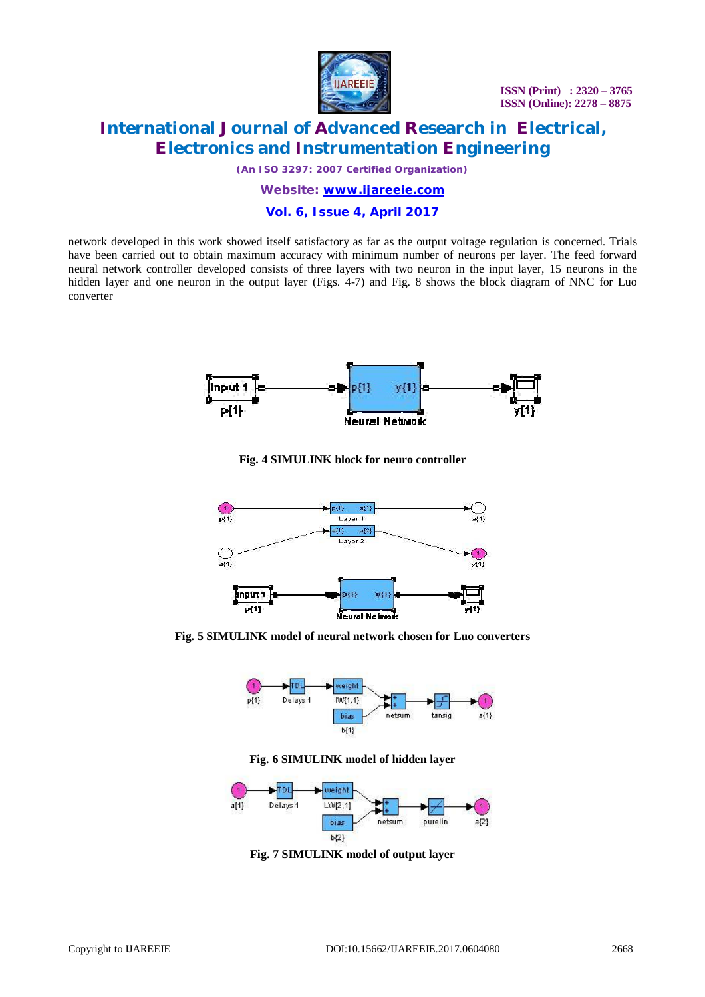

*(An ISO 3297: 2007 Certified Organization)*

### *Website: [www.ijareeie.com](http://www.ijareeie.com)* **Vol. 6, Issue 4, April 2017**

network developed in this work showed itself satisfactory as far as the output voltage regulation is concerned. Trials have been carried out to obtain maximum accuracy with minimum number of neurons per layer. The feed forward neural network controller developed consists of three layers with two neuron in the input layer, 15 neurons in the hidden layer and one neuron in the output layer (Figs. 4-7) and Fig. 8 shows the block diagram of NNC for Luo converter



**Fig. 4 SIMULINK block for neuro controller**



**Fig. 5 SIMULINK model of neural network chosen for Luo converters**



**Fig. 6 SIMULINK model of hidden layer**



**Fig. 7 SIMULINK model of output layer**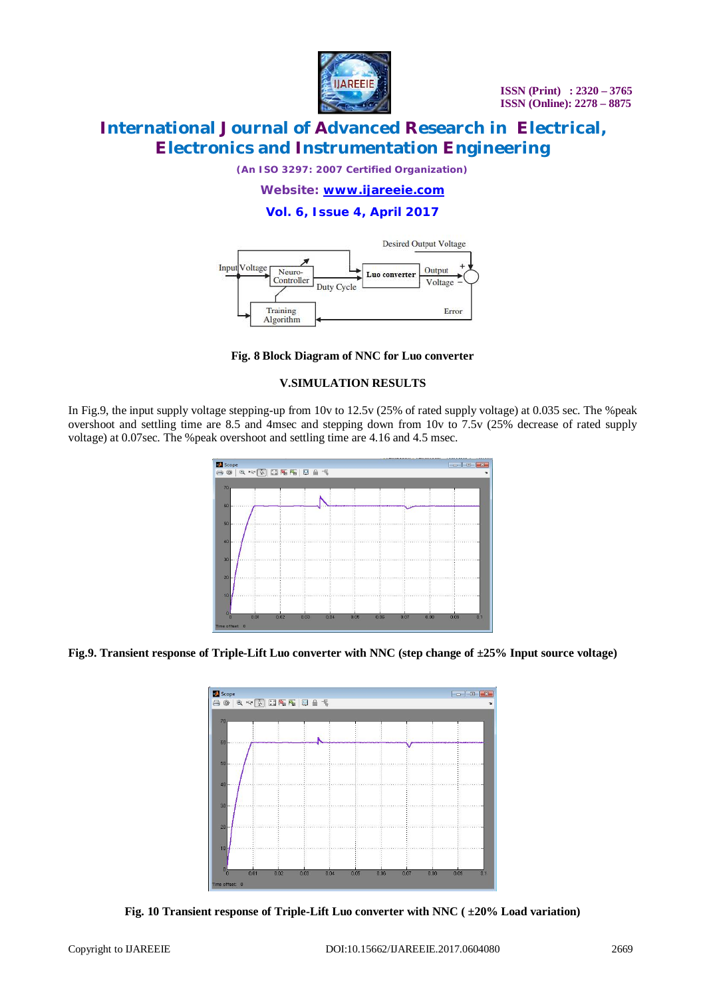

*(An ISO 3297: 2007 Certified Organization)*

*Website: [www.ijareeie.com](http://www.ijareeie.com)*

### **Vol. 6, Issue 4, April 2017**



**Fig. 8 Block Diagram of NNC for Luo converter**

### **V.SIMULATION RESULTS**

In Fig.9, the input supply voltage stepping-up from 10v to 12.5v (25% of rated supply voltage) at 0.035 sec. The %peak overshoot and settling time are 8.5 and 4msec and stepping down from 10v to 7.5v (25% decrease of rated supply voltage) at 0.07sec. The %peak overshoot and settling time are 4.16 and 4.5 msec.

| Scope <sup>1</sup><br>$\circledcirc$ |      |      |      |      |      |      |      | $\boxed{\circ}$ |     |
|--------------------------------------|------|------|------|------|------|------|------|-----------------|-----|
| 9 2 2 日本語 日日市<br>A                   |      |      |      |      |      |      |      |                 |     |
| 70                                   |      |      |      |      |      |      |      |                 |     |
|                                      |      |      |      |      |      |      |      |                 |     |
| 60                                   |      |      |      |      |      |      |      |                 |     |
|                                      |      |      |      |      |      |      |      |                 |     |
| 50                                   |      |      |      |      |      |      |      |                 |     |
| 40                                   |      |      |      |      |      |      |      |                 |     |
|                                      |      |      |      |      |      |      |      |                 |     |
| 30                                   |      |      |      |      |      |      |      |                 |     |
|                                      |      |      |      |      |      |      |      |                 |     |
| $\overline{20}$                      |      |      |      |      |      |      |      |                 |     |
|                                      |      |      |      |      |      |      |      |                 |     |
| 10                                   |      |      |      |      |      |      |      |                 |     |
|                                      |      |      |      |      |      |      |      |                 |     |
| $^{0}$<br>0.01                       | 0.02 | 0.03 | 0.04 | 0.05 | 0.06 | 0.07 | 0.08 | 0.09            | 0.1 |
| Time offset: 0                       |      |      |      |      |      |      |      |                 |     |

**Fig.9. Transient response of Triple-Lift Luo converter with NNC (step change of ±25% Input source voltage)** 



**Fig. 10 Transient response of Triple-Lift Luo converter with NNC ( ±20% Load variation)**